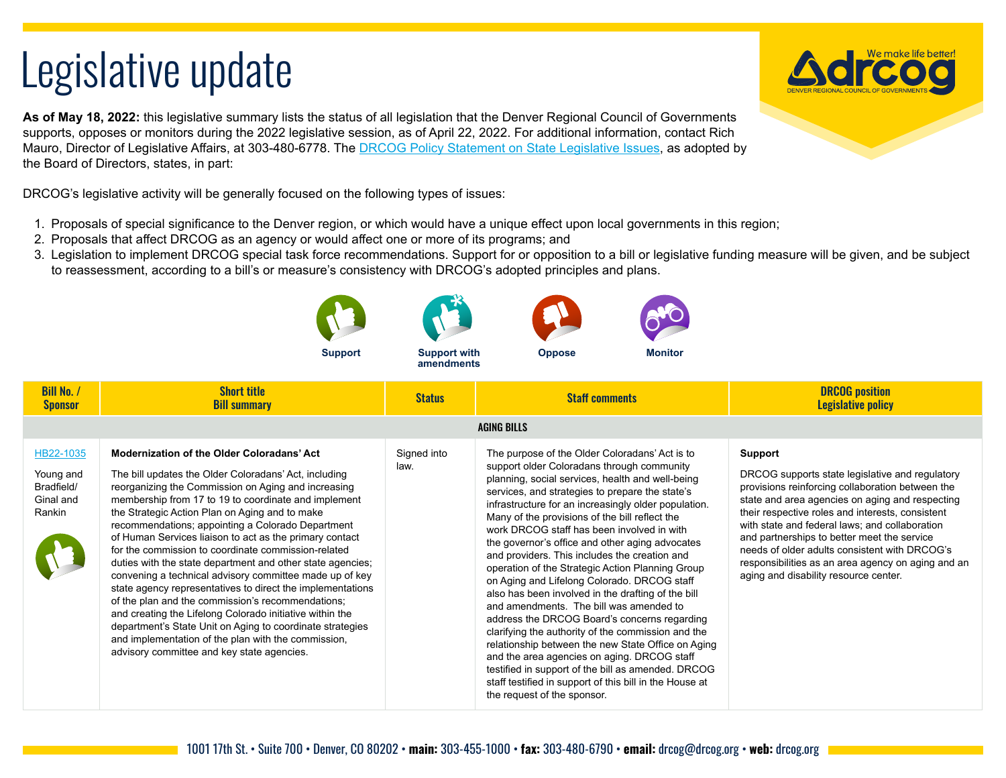## Legislative update

**As of May 18, 2022:** this legislative summary lists the status of all legislation that the Denver Regional Council of Governments supports, opposes or monitors during the 2022 legislative session, as of April 22, 2022. For additional information, contact Rich Mauro, Director of Legislative Affairs, at 303-480-6778. The [DRCOG Policy Statement on State Legislative Issues,](https://drcog.org/sites/default/files/resources/EO-RP-22STATEPOLICY-22-01-21.pdf) as adopted by the Board of Directors, states, in part:

DRCOG's legislative activity will be generally focused on the following types of issues:

- 1. Proposals of special significance to the Denver region, or which would have a unique effect upon local governments in this region;
- 2. Proposals that affect DRCOG as an agency or would affect one or more of its programs; and

**Support**

3. Legislation to implement DRCOG special task force recommendations. Support for or opposition to a bill or legislative funding measure will be given, and be subject to reassessment, according to a bill's or measure's consistency with DRCOG's adopted principles and plans.

|                                                             |                                                                                                                                                                                                                                                                                                                                                                                                                                                                                                                                                                                                                                                                                                                                                                                                                                                                                                                              | ------------<br>amendments |                                                                                                                                                                                                                                                                                                                                                                                                                                                                                                                                                                                                                                                                                                                                                                                                                                                                                                                                                                                                                                |                                                                                                                                                                                                                                                                                                                                                                                                                                                                               |
|-------------------------------------------------------------|------------------------------------------------------------------------------------------------------------------------------------------------------------------------------------------------------------------------------------------------------------------------------------------------------------------------------------------------------------------------------------------------------------------------------------------------------------------------------------------------------------------------------------------------------------------------------------------------------------------------------------------------------------------------------------------------------------------------------------------------------------------------------------------------------------------------------------------------------------------------------------------------------------------------------|----------------------------|--------------------------------------------------------------------------------------------------------------------------------------------------------------------------------------------------------------------------------------------------------------------------------------------------------------------------------------------------------------------------------------------------------------------------------------------------------------------------------------------------------------------------------------------------------------------------------------------------------------------------------------------------------------------------------------------------------------------------------------------------------------------------------------------------------------------------------------------------------------------------------------------------------------------------------------------------------------------------------------------------------------------------------|-------------------------------------------------------------------------------------------------------------------------------------------------------------------------------------------------------------------------------------------------------------------------------------------------------------------------------------------------------------------------------------------------------------------------------------------------------------------------------|
| <b>Bill No. /</b><br><b>Sponsor</b>                         | <b>Short title</b><br><b>Bill summary</b>                                                                                                                                                                                                                                                                                                                                                                                                                                                                                                                                                                                                                                                                                                                                                                                                                                                                                    | <b>Status</b>              | <b>Staff comments</b>                                                                                                                                                                                                                                                                                                                                                                                                                                                                                                                                                                                                                                                                                                                                                                                                                                                                                                                                                                                                          | <b>DRCOG</b> position<br><b>Legislative policy</b>                                                                                                                                                                                                                                                                                                                                                                                                                            |
|                                                             |                                                                                                                                                                                                                                                                                                                                                                                                                                                                                                                                                                                                                                                                                                                                                                                                                                                                                                                              |                            | <b>AGING BILLS</b>                                                                                                                                                                                                                                                                                                                                                                                                                                                                                                                                                                                                                                                                                                                                                                                                                                                                                                                                                                                                             |                                                                                                                                                                                                                                                                                                                                                                                                                                                                               |
| HB22-1035<br>Young and<br>Bradfield/<br>Ginal and<br>Rankin | <b>Modernization of the Older Coloradans' Act</b><br>The bill updates the Older Coloradans' Act, including<br>reorganizing the Commission on Aging and increasing<br>membership from 17 to 19 to coordinate and implement<br>the Strategic Action Plan on Aging and to make<br>recommendations; appointing a Colorado Department<br>of Human Services liaison to act as the primary contact<br>for the commission to coordinate commission-related<br>duties with the state department and other state agencies;<br>convening a technical advisory committee made up of key<br>state agency representatives to direct the implementations<br>of the plan and the commission's recommendations;<br>and creating the Lifelong Colorado initiative within the<br>department's State Unit on Aging to coordinate strategies<br>and implementation of the plan with the commission,<br>advisory committee and key state agencies. | Signed into<br>law.        | The purpose of the Older Coloradans' Act is to<br>support older Coloradans through community<br>planning, social services, health and well-being<br>services, and strategies to prepare the state's<br>infrastructure for an increasingly older population.<br>Many of the provisions of the bill reflect the<br>work DRCOG staff has been involved in with<br>the governor's office and other aging advocates<br>and providers. This includes the creation and<br>operation of the Strategic Action Planning Group<br>on Aging and Lifelong Colorado. DRCOG staff<br>also has been involved in the drafting of the bill<br>and amendments. The bill was amended to<br>address the DRCOG Board's concerns regarding<br>clarifying the authority of the commission and the<br>relationship between the new State Office on Aging<br>and the area agencies on aging. DRCOG staff<br>testified in support of the bill as amended. DRCOG<br>staff testified in support of this bill in the House at<br>the request of the sponsor. | <b>Support</b><br>DRCOG supports state legislative and regulatory<br>provisions reinforcing collaboration between the<br>state and area agencies on aging and respecting<br>their respective roles and interests, consistent<br>with state and federal laws; and collaboration<br>and partnerships to better meet the service<br>needs of older adults consistent with DRCOG's<br>responsibilities as an area agency on aging and an<br>aging and disability resource center. |





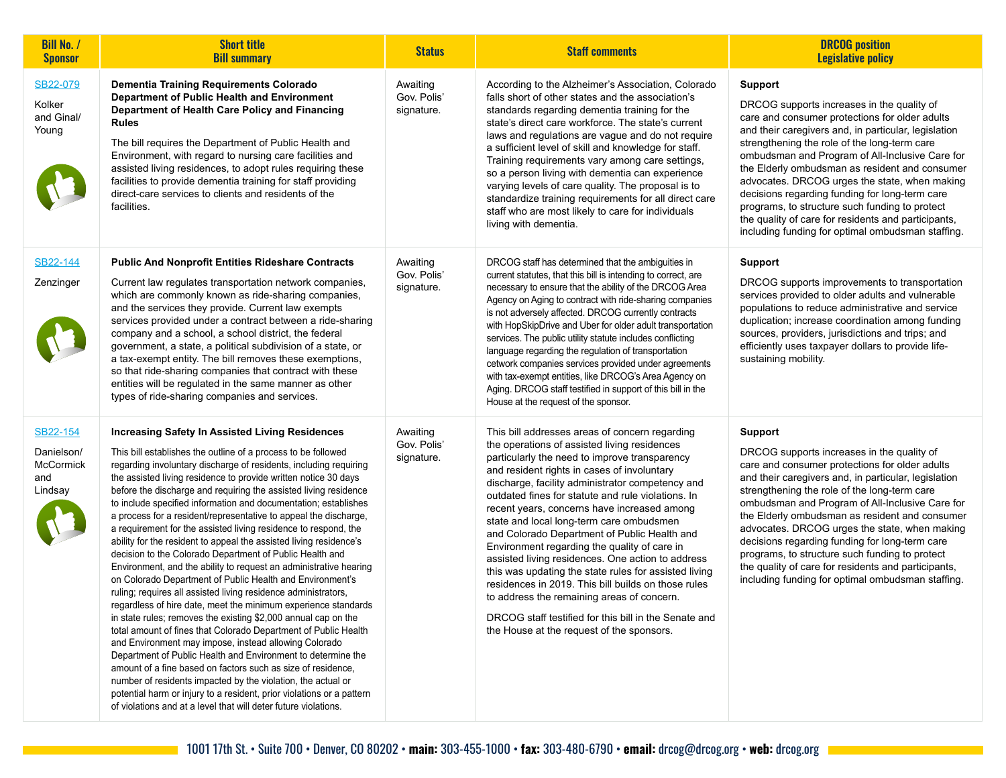| <b>Bill No. /</b><br><b>Sponsor</b>                   | <b>Short title</b><br><b>Bill summary</b>                                                                                                                                                                                                                                                                                                                                                                                                                                                                                                                                                                                                                                                                                                                                                                                                                                                                                                                                                                                                                                                                                                                                                                                                                                                                                                                                                                                                                                                       | <b>Status</b>                         | <b>Staff comments</b>                                                                                                                                                                                                                                                                                                                                                                                                                                                                                                                                                                                                                                                                                                                                                                                                        | <b>DRCOG</b> position<br><b>Legislative policy</b>                                                                                                                                                                                                                                                                                                                                                                                                                                                                                                                                           |
|-------------------------------------------------------|-------------------------------------------------------------------------------------------------------------------------------------------------------------------------------------------------------------------------------------------------------------------------------------------------------------------------------------------------------------------------------------------------------------------------------------------------------------------------------------------------------------------------------------------------------------------------------------------------------------------------------------------------------------------------------------------------------------------------------------------------------------------------------------------------------------------------------------------------------------------------------------------------------------------------------------------------------------------------------------------------------------------------------------------------------------------------------------------------------------------------------------------------------------------------------------------------------------------------------------------------------------------------------------------------------------------------------------------------------------------------------------------------------------------------------------------------------------------------------------------------|---------------------------------------|------------------------------------------------------------------------------------------------------------------------------------------------------------------------------------------------------------------------------------------------------------------------------------------------------------------------------------------------------------------------------------------------------------------------------------------------------------------------------------------------------------------------------------------------------------------------------------------------------------------------------------------------------------------------------------------------------------------------------------------------------------------------------------------------------------------------------|----------------------------------------------------------------------------------------------------------------------------------------------------------------------------------------------------------------------------------------------------------------------------------------------------------------------------------------------------------------------------------------------------------------------------------------------------------------------------------------------------------------------------------------------------------------------------------------------|
| SB22-079<br>Kolker<br>and Ginal/<br>Young             | Dementia Training Requirements Colorado<br>Department of Public Health and Environment<br>Department of Health Care Policy and Financing<br><b>Rules</b><br>The bill requires the Department of Public Health and<br>Environment, with regard to nursing care facilities and<br>assisted living residences, to adopt rules requiring these<br>facilities to provide dementia training for staff providing<br>direct-care services to clients and residents of the<br>facilities.                                                                                                                                                                                                                                                                                                                                                                                                                                                                                                                                                                                                                                                                                                                                                                                                                                                                                                                                                                                                                | Awaiting<br>Gov. Polis'<br>signature. | According to the Alzheimer's Association, Colorado<br>falls short of other states and the association's<br>standards regarding dementia training for the<br>state's direct care workforce. The state's current<br>laws and regulations are vague and do not require<br>a sufficient level of skill and knowledge for staff.<br>Training requirements vary among care settings,<br>so a person living with dementia can experience<br>varying levels of care quality. The proposal is to<br>standardize training requirements for all direct care<br>staff who are most likely to care for individuals<br>living with dementia.                                                                                                                                                                                               | <b>Support</b><br>DRCOG supports increases in the quality of<br>care and consumer protections for older adults<br>and their caregivers and, in particular, legislation<br>strengthening the role of the long-term care<br>ombudsman and Program of All-Inclusive Care for<br>the Elderly ombudsman as resident and consumer<br>advocates. DRCOG urges the state, when making<br>decisions regarding funding for long-term care<br>programs, to structure such funding to protect<br>the quality of care for residents and participants,<br>including funding for optimal ombudsman staffing. |
| SB22-144<br>Zenzinger                                 | <b>Public And Nonprofit Entities Rideshare Contracts</b><br>Current law regulates transportation network companies,<br>which are commonly known as ride-sharing companies,<br>and the services they provide. Current law exempts<br>services provided under a contract between a ride-sharing<br>company and a school, a school district, the federal<br>government, a state, a political subdivision of a state, or<br>a tax-exempt entity. The bill removes these exemptions,<br>so that ride-sharing companies that contract with these<br>entities will be regulated in the same manner as other<br>types of ride-sharing companies and services.                                                                                                                                                                                                                                                                                                                                                                                                                                                                                                                                                                                                                                                                                                                                                                                                                                           | Awaiting<br>Gov. Polis'<br>signature. | DRCOG staff has determined that the ambiguities in<br>current statutes, that this bill is intending to correct, are<br>necessary to ensure that the ability of the DRCOG Area<br>Agency on Aging to contract with ride-sharing companies<br>is not adversely affected. DRCOG currently contracts<br>with HopSkipDrive and Uber for older adult transportation<br>services. The public utility statute includes conflicting<br>language regarding the regulation of transportation<br>cetwork companies services provided under agreements<br>with tax-exempt entities, like DRCOG's Area Agency on<br>Aging. DRCOG staff testified in support of this bill in the<br>House at the request of the sponsor.                                                                                                                    | <b>Support</b><br>DRCOG supports improvements to transportation<br>services provided to older adults and vulnerable<br>populations to reduce administrative and service<br>duplication; increase coordination among funding<br>sources, providers, jurisdictions and trips; and<br>efficiently uses taxpayer dollars to provide life-<br>sustaining mobility.                                                                                                                                                                                                                                |
| SB22-154<br>Danielson/<br>McCormick<br>and<br>Lindsay | <b>Increasing Safety In Assisted Living Residences</b><br>This bill establishes the outline of a process to be followed<br>regarding involuntary discharge of residents, including requiring<br>the assisted living residence to provide written notice 30 days<br>before the discharge and requiring the assisted living residence<br>to include specified information and documentation; establishes<br>a process for a resident/representative to appeal the discharge,<br>a requirement for the assisted living residence to respond, the<br>ability for the resident to appeal the assisted living residence's<br>decision to the Colorado Department of Public Health and<br>Environment, and the ability to request an administrative hearing<br>on Colorado Department of Public Health and Environment's<br>ruling; requires all assisted living residence administrators,<br>regardless of hire date, meet the minimum experience standards<br>in state rules; removes the existing \$2,000 annual cap on the<br>total amount of fines that Colorado Department of Public Health<br>and Environment may impose, instead allowing Colorado<br>Department of Public Health and Environment to determine the<br>amount of a fine based on factors such as size of residence,<br>number of residents impacted by the violation, the actual or<br>potential harm or injury to a resident, prior violations or a pattern<br>of violations and at a level that will deter future violations. | Awaiting<br>Gov. Polis'<br>signature. | This bill addresses areas of concern regarding<br>the operations of assisted living residences<br>particularly the need to improve transparency<br>and resident rights in cases of involuntary<br>discharge, facility administrator competency and<br>outdated fines for statute and rule violations. In<br>recent years, concerns have increased among<br>state and local long-term care ombudsmen<br>and Colorado Department of Public Health and<br>Environment regarding the quality of care in<br>assisted living residences. One action to address<br>this was updating the state rules for assisted living<br>residences in 2019. This bill builds on those rules<br>to address the remaining areas of concern.<br>DRCOG staff testified for this bill in the Senate and<br>the House at the request of the sponsors. | <b>Support</b><br>DRCOG supports increases in the quality of<br>care and consumer protections for older adults<br>and their caregivers and, in particular, legislation<br>strengthening the role of the long-term care<br>ombudsman and Program of All-Inclusive Care for<br>the Elderly ombudsman as resident and consumer<br>advocates. DRCOG urges the state, when making<br>decisions regarding funding for long-term care<br>programs, to structure such funding to protect<br>the quality of care for residents and participants,<br>including funding for optimal ombudsman staffing. |

**Contract Contract**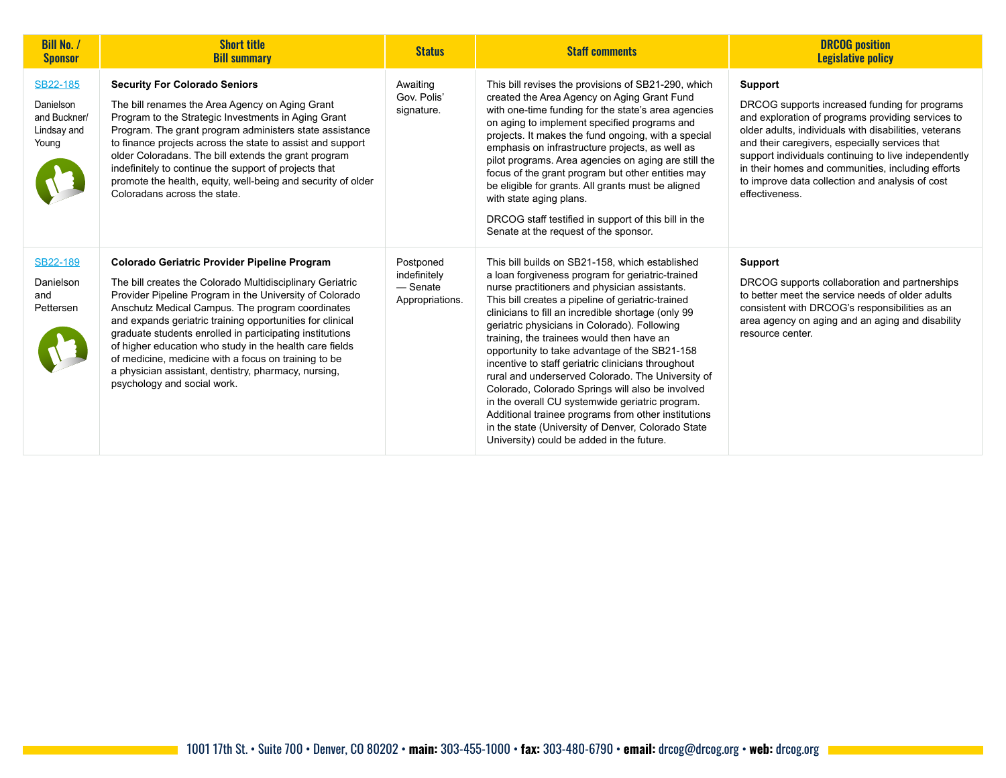| <b>Bill No. /</b><br><b>Sponsor</b>                           | <b>Short title</b><br><b>Bill summary</b>                                                                                                                                                                                                                                                                                                                                                                                                                                                                                                                          | <b>Status</b>                                            | <b>Staff comments</b>                                                                                                                                                                                                                                                                                                                                                                                                                                                                                                                                                                                                                                                                                                                                                                     | <b>DRCOG</b> position<br><b>Legislative policy</b>                                                                                                                                                                                                                                                                                                                                                         |
|---------------------------------------------------------------|--------------------------------------------------------------------------------------------------------------------------------------------------------------------------------------------------------------------------------------------------------------------------------------------------------------------------------------------------------------------------------------------------------------------------------------------------------------------------------------------------------------------------------------------------------------------|----------------------------------------------------------|-------------------------------------------------------------------------------------------------------------------------------------------------------------------------------------------------------------------------------------------------------------------------------------------------------------------------------------------------------------------------------------------------------------------------------------------------------------------------------------------------------------------------------------------------------------------------------------------------------------------------------------------------------------------------------------------------------------------------------------------------------------------------------------------|------------------------------------------------------------------------------------------------------------------------------------------------------------------------------------------------------------------------------------------------------------------------------------------------------------------------------------------------------------------------------------------------------------|
| SB22-185<br>Danielson<br>and Buckner/<br>Lindsay and<br>Young | <b>Security For Colorado Seniors</b><br>The bill renames the Area Agency on Aging Grant<br>Program to the Strategic Investments in Aging Grant<br>Program. The grant program administers state assistance<br>to finance projects across the state to assist and support<br>older Coloradans. The bill extends the grant program<br>indefinitely to continue the support of projects that<br>promote the health, equity, well-being and security of older<br>Coloradans across the state.                                                                           | Awaiting<br>Gov. Polis'<br>signature.                    | This bill revises the provisions of SB21-290, which<br>created the Area Agency on Aging Grant Fund<br>with one-time funding for the state's area agencies<br>on aging to implement specified programs and<br>projects. It makes the fund ongoing, with a special<br>emphasis on infrastructure projects, as well as<br>pilot programs. Area agencies on aging are still the<br>focus of the grant program but other entities may<br>be eligible for grants. All grants must be aligned<br>with state aging plans.<br>DRCOG staff testified in support of this bill in the<br>Senate at the request of the sponsor.                                                                                                                                                                        | Support<br>DRCOG supports increased funding for programs<br>and exploration of programs providing services to<br>older adults, individuals with disabilities, veterans<br>and their caregivers, especially services that<br>support individuals continuing to live independently<br>in their homes and communities, including efforts<br>to improve data collection and analysis of cost<br>effectiveness. |
| SB22-189<br>Danielson<br>and<br>Pettersen                     | <b>Colorado Geriatric Provider Pipeline Program</b><br>The bill creates the Colorado Multidisciplinary Geriatric<br>Provider Pipeline Program in the University of Colorado<br>Anschutz Medical Campus. The program coordinates<br>and expands geriatric training opportunities for clinical<br>graduate students enrolled in participating institutions<br>of higher education who study in the health care fields<br>of medicine, medicine with a focus on training to be<br>a physician assistant, dentistry, pharmacy, nursing,<br>psychology and social work. | Postponed<br>indefinitely<br>— Senate<br>Appropriations. | This bill builds on SB21-158, which established<br>a loan forgiveness program for geriatric-trained<br>nurse practitioners and physician assistants.<br>This bill creates a pipeline of geriatric-trained<br>clinicians to fill an incredible shortage (only 99<br>geriatric physicians in Colorado). Following<br>training, the trainees would then have an<br>opportunity to take advantage of the SB21-158<br>incentive to staff geriatric clinicians throughout<br>rural and underserved Colorado. The University of<br>Colorado, Colorado Springs will also be involved<br>in the overall CU systemwide geriatric program.<br>Additional trainee programs from other institutions<br>in the state (University of Denver, Colorado State<br>University) could be added in the future. | <b>Support</b><br>DRCOG supports collaboration and partnerships<br>to better meet the service needs of older adults<br>consistent with DRCOG's responsibilities as an<br>area agency on aging and an aging and disability<br>resource center.                                                                                                                                                              |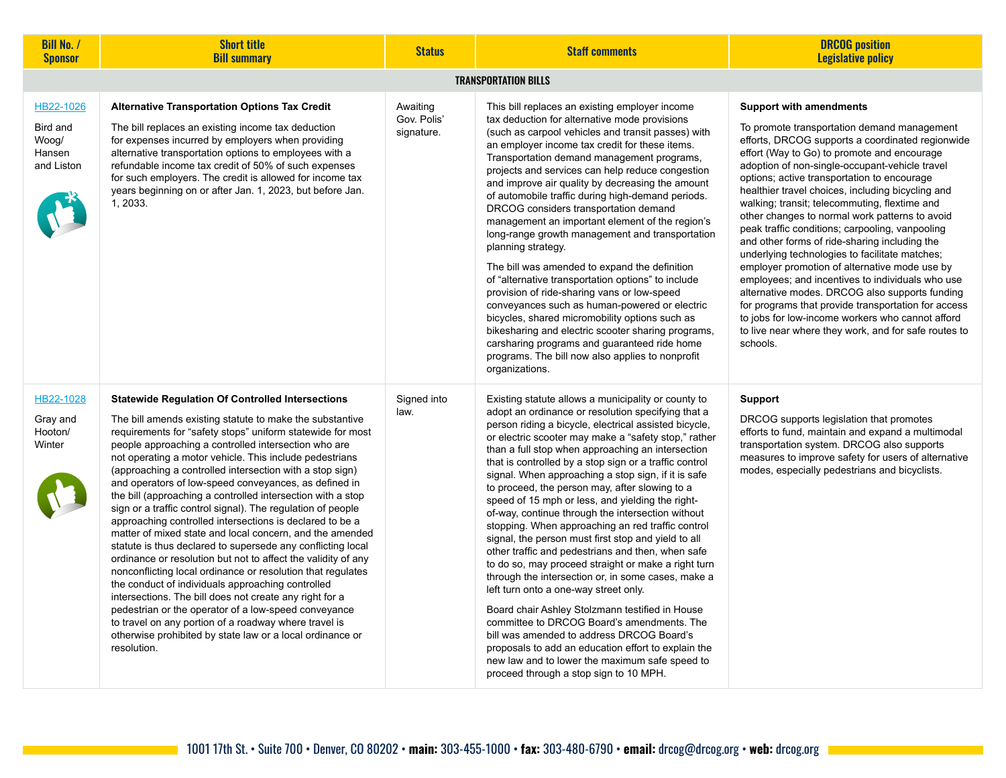| <b>Bill No. /</b><br><b>Sponsor</b>                    | <b>Short title</b><br><b>Bill summary</b>                                                                                                                                                                                                                                                                                                                                                                                                                                                                                                                                                                                                                                                                                                                                                                                                                                                                                                                                                                                                                                                                                                                                                   | <b>Status</b>                         | <b>Staff comments</b>                                                                                                                                                                                                                                                                                                                                                                                                                                                                                                                                                                                                                                                                                                                                                                                                                                                                                                                                                                                                                                                                                                                                                               | <b>DRCOG</b> position<br><b>Legislative policy</b>                                                                                                                                                                                                                                                                                                                                                                                                                                                                                                                                                                                                                                                                                                                                                                                                                                                                                    |
|--------------------------------------------------------|---------------------------------------------------------------------------------------------------------------------------------------------------------------------------------------------------------------------------------------------------------------------------------------------------------------------------------------------------------------------------------------------------------------------------------------------------------------------------------------------------------------------------------------------------------------------------------------------------------------------------------------------------------------------------------------------------------------------------------------------------------------------------------------------------------------------------------------------------------------------------------------------------------------------------------------------------------------------------------------------------------------------------------------------------------------------------------------------------------------------------------------------------------------------------------------------|---------------------------------------|-------------------------------------------------------------------------------------------------------------------------------------------------------------------------------------------------------------------------------------------------------------------------------------------------------------------------------------------------------------------------------------------------------------------------------------------------------------------------------------------------------------------------------------------------------------------------------------------------------------------------------------------------------------------------------------------------------------------------------------------------------------------------------------------------------------------------------------------------------------------------------------------------------------------------------------------------------------------------------------------------------------------------------------------------------------------------------------------------------------------------------------------------------------------------------------|---------------------------------------------------------------------------------------------------------------------------------------------------------------------------------------------------------------------------------------------------------------------------------------------------------------------------------------------------------------------------------------------------------------------------------------------------------------------------------------------------------------------------------------------------------------------------------------------------------------------------------------------------------------------------------------------------------------------------------------------------------------------------------------------------------------------------------------------------------------------------------------------------------------------------------------|
|                                                        |                                                                                                                                                                                                                                                                                                                                                                                                                                                                                                                                                                                                                                                                                                                                                                                                                                                                                                                                                                                                                                                                                                                                                                                             |                                       | <b>TRANSPORTATION BILLS</b>                                                                                                                                                                                                                                                                                                                                                                                                                                                                                                                                                                                                                                                                                                                                                                                                                                                                                                                                                                                                                                                                                                                                                         |                                                                                                                                                                                                                                                                                                                                                                                                                                                                                                                                                                                                                                                                                                                                                                                                                                                                                                                                       |
| HB22-1026<br>Bird and<br>Woog/<br>Hansen<br>and Liston | <b>Alternative Transportation Options Tax Credit</b><br>The bill replaces an existing income tax deduction<br>for expenses incurred by employers when providing<br>alternative transportation options to employees with a<br>refundable income tax credit of 50% of such expenses<br>for such employers. The credit is allowed for income tax<br>years beginning on or after Jan. 1, 2023, but before Jan.<br>1, 2033.                                                                                                                                                                                                                                                                                                                                                                                                                                                                                                                                                                                                                                                                                                                                                                      | Awaiting<br>Gov. Polis'<br>signature. | This bill replaces an existing employer income<br>tax deduction for alternative mode provisions<br>(such as carpool vehicles and transit passes) with<br>an employer income tax credit for these items.<br>Transportation demand management programs,<br>projects and services can help reduce congestion<br>and improve air quality by decreasing the amount<br>of automobile traffic during high-demand periods.<br>DRCOG considers transportation demand<br>management an important element of the region's<br>long-range growth management and transportation<br>planning strategy.<br>The bill was amended to expand the definition<br>of "alternative transportation options" to include<br>provision of ride-sharing vans or low-speed<br>conveyances such as human-powered or electric<br>bicycles, shared micromobility options such as<br>bikesharing and electric scooter sharing programs,<br>carsharing programs and guaranteed ride home<br>programs. The bill now also applies to nonprofit<br>organizations.                                                                                                                                                        | <b>Support with amendments</b><br>To promote transportation demand management<br>efforts, DRCOG supports a coordinated regionwide<br>effort (Way to Go) to promote and encourage<br>adoption of non-single-occupant-vehicle travel<br>options; active transportation to encourage<br>healthier travel choices, including bicycling and<br>walking; transit; telecommuting, flextime and<br>other changes to normal work patterns to avoid<br>peak traffic conditions; carpooling, vanpooling<br>and other forms of ride-sharing including the<br>underlying technologies to facilitate matches;<br>employer promotion of alternative mode use by<br>employees; and incentives to individuals who use<br>alternative modes. DRCOG also supports funding<br>for programs that provide transportation for access<br>to jobs for low-income workers who cannot afford<br>to live near where they work, and for safe routes to<br>schools. |
| HB22-1028<br>Gray and<br>Hooton/<br>Winter             | <b>Statewide Regulation Of Controlled Intersections</b><br>The bill amends existing statute to make the substantive<br>requirements for "safety stops" uniform statewide for most<br>people approaching a controlled intersection who are<br>not operating a motor vehicle. This include pedestrians<br>(approaching a controlled intersection with a stop sign)<br>and operators of low-speed conveyances, as defined in<br>the bill (approaching a controlled intersection with a stop<br>sign or a traffic control signal). The regulation of people<br>approaching controlled intersections is declared to be a<br>matter of mixed state and local concern, and the amended<br>statute is thus declared to supersede any conflicting local<br>ordinance or resolution but not to affect the validity of any<br>nonconflicting local ordinance or resolution that regulates<br>the conduct of individuals approaching controlled<br>intersections. The bill does not create any right for a<br>pedestrian or the operator of a low-speed conveyance<br>to travel on any portion of a roadway where travel is<br>otherwise prohibited by state law or a local ordinance or<br>resolution. | Signed into<br>law.                   | Existing statute allows a municipality or county to<br>adopt an ordinance or resolution specifying that a<br>person riding a bicycle, electrical assisted bicycle,<br>or electric scooter may make a "safety stop," rather<br>than a full stop when approaching an intersection<br>that is controlled by a stop sign or a traffic control<br>signal. When approaching a stop sign, if it is safe<br>to proceed, the person may, after slowing to a<br>speed of 15 mph or less, and yielding the right-<br>of-way, continue through the intersection without<br>stopping. When approaching an red traffic control<br>signal, the person must first stop and yield to all<br>other traffic and pedestrians and then, when safe<br>to do so, may proceed straight or make a right turn<br>through the intersection or, in some cases, make a<br>left turn onto a one-way street only.<br>Board chair Ashley Stolzmann testified in House<br>committee to DRCOG Board's amendments. The<br>bill was amended to address DRCOG Board's<br>proposals to add an education effort to explain the<br>new law and to lower the maximum safe speed to<br>proceed through a stop sign to 10 MPH. | Support<br>DRCOG supports legislation that promotes<br>efforts to fund, maintain and expand a multimodal<br>transportation system. DRCOG also supports<br>measures to improve safety for users of alternative<br>modes, especially pedestrians and bicyclists.                                                                                                                                                                                                                                                                                                                                                                                                                                                                                                                                                                                                                                                                        |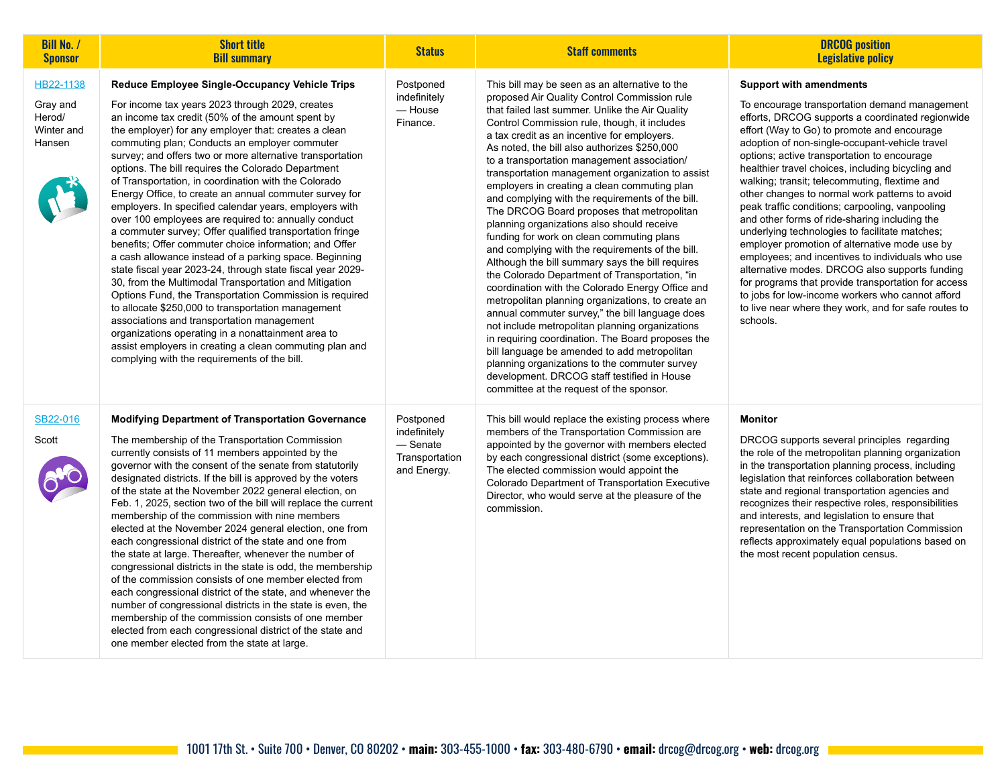| <b>Bill No. /</b><br><b>Sponsor</b>                     | <b>Short title</b><br><b>Bill summary</b>                                                                                                                                                                                                                                                                                                                                                                                                                                                                                                                                                                                                                                                                                                                                                                                                                                                                                                                                                                                                                                                                                                                                                                                                                    | <b>Status</b>                                                            | <b>Staff comments</b>                                                                                                                                                                                                                                                                                                                                                                                                                                                                                                                                                                                                                                                                                                                                                                                                                                                                                                                                                                                                                                                                                                                                                                                                                                                      | <b>DRCOG</b> position<br><b>Legislative policy</b>                                                                                                                                                                                                                                                                                                                                                                                                                                                                                                                                                                                                                                                                                                                                                                                                                                                                                      |
|---------------------------------------------------------|--------------------------------------------------------------------------------------------------------------------------------------------------------------------------------------------------------------------------------------------------------------------------------------------------------------------------------------------------------------------------------------------------------------------------------------------------------------------------------------------------------------------------------------------------------------------------------------------------------------------------------------------------------------------------------------------------------------------------------------------------------------------------------------------------------------------------------------------------------------------------------------------------------------------------------------------------------------------------------------------------------------------------------------------------------------------------------------------------------------------------------------------------------------------------------------------------------------------------------------------------------------|--------------------------------------------------------------------------|----------------------------------------------------------------------------------------------------------------------------------------------------------------------------------------------------------------------------------------------------------------------------------------------------------------------------------------------------------------------------------------------------------------------------------------------------------------------------------------------------------------------------------------------------------------------------------------------------------------------------------------------------------------------------------------------------------------------------------------------------------------------------------------------------------------------------------------------------------------------------------------------------------------------------------------------------------------------------------------------------------------------------------------------------------------------------------------------------------------------------------------------------------------------------------------------------------------------------------------------------------------------------|-----------------------------------------------------------------------------------------------------------------------------------------------------------------------------------------------------------------------------------------------------------------------------------------------------------------------------------------------------------------------------------------------------------------------------------------------------------------------------------------------------------------------------------------------------------------------------------------------------------------------------------------------------------------------------------------------------------------------------------------------------------------------------------------------------------------------------------------------------------------------------------------------------------------------------------------|
| HB22-1138<br>Gray and<br>Herod/<br>Winter and<br>Hansen | Reduce Employee Single-Occupancy Vehicle Trips<br>For income tax years 2023 through 2029, creates<br>an income tax credit (50% of the amount spent by<br>the employer) for any employer that: creates a clean<br>commuting plan; Conducts an employer commuter<br>survey; and offers two or more alternative transportation<br>options. The bill requires the Colorado Department<br>of Transportation, in coordination with the Colorado<br>Energy Office, to create an annual commuter survey for<br>employers. In specified calendar years, employers with<br>over 100 employees are required to: annually conduct<br>a commuter survey; Offer qualified transportation fringe<br>benefits; Offer commuter choice information; and Offer<br>a cash allowance instead of a parking space. Beginning<br>state fiscal year 2023-24, through state fiscal year 2029-<br>30, from the Multimodal Transportation and Mitigation<br>Options Fund, the Transportation Commission is required<br>to allocate \$250,000 to transportation management<br>associations and transportation management<br>organizations operating in a nonattainment area to<br>assist employers in creating a clean commuting plan and<br>complying with the requirements of the bill. | Postponed<br>indefinitely<br>— House<br>Finance.                         | This bill may be seen as an alternative to the<br>proposed Air Quality Control Commission rule<br>that failed last summer. Unlike the Air Quality<br>Control Commission rule, though, it includes<br>a tax credit as an incentive for employers.<br>As noted, the bill also authorizes \$250,000<br>to a transportation management association/<br>transportation management organization to assist<br>employers in creating a clean commuting plan<br>and complying with the requirements of the bill.<br>The DRCOG Board proposes that metropolitan<br>planning organizations also should receive<br>funding for work on clean commuting plans<br>and complying with the requirements of the bill.<br>Although the bill summary says the bill requires<br>the Colorado Department of Transportation, "in<br>coordination with the Colorado Energy Office and<br>metropolitan planning organizations, to create an<br>annual commuter survey," the bill language does<br>not include metropolitan planning organizations<br>in requiring coordination. The Board proposes the<br>bill language be amended to add metropolitan<br>planning organizations to the commuter survey<br>development. DRCOG staff testified in House<br>committee at the request of the sponsor. | <b>Support with amendments</b><br>To encourage transportation demand management<br>efforts, DRCOG supports a coordinated regionwide<br>effort (Way to Go) to promote and encourage<br>adoption of non-single-occupant-vehicle travel<br>options; active transportation to encourage<br>healthier travel choices, including bicycling and<br>walking; transit; telecommuting, flextime and<br>other changes to normal work patterns to avoid<br>peak traffic conditions; carpooling, vanpooling<br>and other forms of ride-sharing including the<br>underlying technologies to facilitate matches;<br>employer promotion of alternative mode use by<br>employees; and incentives to individuals who use<br>alternative modes. DRCOG also supports funding<br>for programs that provide transportation for access<br>to jobs for low-income workers who cannot afford<br>to live near where they work, and for safe routes to<br>schools. |
| SB22-016<br>Scott                                       | <b>Modifying Department of Transportation Governance</b><br>The membership of the Transportation Commission<br>currently consists of 11 members appointed by the<br>governor with the consent of the senate from statutorily<br>designated districts. If the bill is approved by the voters<br>of the state at the November 2022 general election, on<br>Feb. 1, 2025, section two of the bill will replace the current<br>membership of the commission with nine members<br>elected at the November 2024 general election, one from<br>each congressional district of the state and one from<br>the state at large. Thereafter, whenever the number of<br>congressional districts in the state is odd, the membership<br>of the commission consists of one member elected from<br>each congressional district of the state, and whenever the<br>number of congressional districts in the state is even, the<br>membership of the commission consists of one member<br>elected from each congressional district of the state and<br>one member elected from the state at large.                                                                                                                                                                              | Postponed<br>indefinitely<br>$-$ Senate<br>Transportation<br>and Energy. | This bill would replace the existing process where<br>members of the Transportation Commission are<br>appointed by the governor with members elected<br>by each congressional district (some exceptions).<br>The elected commission would appoint the<br>Colorado Department of Transportation Executive<br>Director, who would serve at the pleasure of the<br>commission.                                                                                                                                                                                                                                                                                                                                                                                                                                                                                                                                                                                                                                                                                                                                                                                                                                                                                                | <b>Monitor</b><br>DRCOG supports several principles regarding<br>the role of the metropolitan planning organization<br>in the transportation planning process, including<br>legislation that reinforces collaboration between<br>state and regional transportation agencies and<br>recognizes their respective roles, responsibilities<br>and interests, and legislation to ensure that<br>representation on the Transportation Commission<br>reflects approximately equal populations based on<br>the most recent population census.                                                                                                                                                                                                                                                                                                                                                                                                   |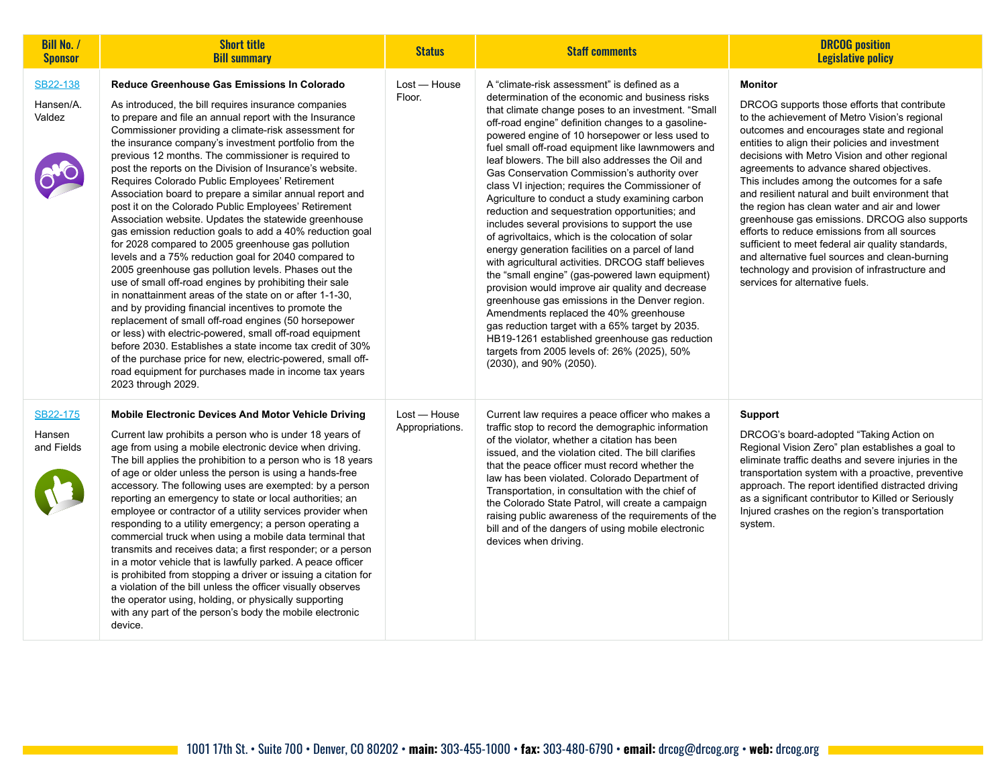| <b>Bill No. /</b><br><b>Sponsor</b> | <b>Short title</b><br><b>Bill summary</b>                                                                                                                                                                                                                                                                                                                                                                                                                                                                                                                                                                                                                                                                                                                                                                                                                                                                                                                                                                                                                                                                                                                                                                                                                                                                                                                                        | <b>Status</b>                   | <b>Staff comments</b>                                                                                                                                                                                                                                                                                                                                                                                                                                                                                                                                                                                                                                                                                                                                                                                                                                                                                                                                                                                                                                                                                                                                                                 | <b>DRCOG</b> position<br><b>Legislative policy</b>                                                                                                                                                                                                                                                                                                                                                                                                                                                                                                                                                                                                                                                                                                             |
|-------------------------------------|----------------------------------------------------------------------------------------------------------------------------------------------------------------------------------------------------------------------------------------------------------------------------------------------------------------------------------------------------------------------------------------------------------------------------------------------------------------------------------------------------------------------------------------------------------------------------------------------------------------------------------------------------------------------------------------------------------------------------------------------------------------------------------------------------------------------------------------------------------------------------------------------------------------------------------------------------------------------------------------------------------------------------------------------------------------------------------------------------------------------------------------------------------------------------------------------------------------------------------------------------------------------------------------------------------------------------------------------------------------------------------|---------------------------------|---------------------------------------------------------------------------------------------------------------------------------------------------------------------------------------------------------------------------------------------------------------------------------------------------------------------------------------------------------------------------------------------------------------------------------------------------------------------------------------------------------------------------------------------------------------------------------------------------------------------------------------------------------------------------------------------------------------------------------------------------------------------------------------------------------------------------------------------------------------------------------------------------------------------------------------------------------------------------------------------------------------------------------------------------------------------------------------------------------------------------------------------------------------------------------------|----------------------------------------------------------------------------------------------------------------------------------------------------------------------------------------------------------------------------------------------------------------------------------------------------------------------------------------------------------------------------------------------------------------------------------------------------------------------------------------------------------------------------------------------------------------------------------------------------------------------------------------------------------------------------------------------------------------------------------------------------------------|
| SB22-138<br>Hansen/A.<br>Valdez     | Reduce Greenhouse Gas Emissions In Colorado<br>As introduced, the bill requires insurance companies<br>to prepare and file an annual report with the Insurance<br>Commissioner providing a climate-risk assessment for<br>the insurance company's investment portfolio from the<br>previous 12 months. The commissioner is required to<br>post the reports on the Division of Insurance's website.<br>Requires Colorado Public Employees' Retirement<br>Association board to prepare a similar annual report and<br>post it on the Colorado Public Employees' Retirement<br>Association website. Updates the statewide greenhouse<br>gas emission reduction goals to add a 40% reduction goal<br>for 2028 compared to 2005 greenhouse gas pollution<br>levels and a 75% reduction goal for 2040 compared to<br>2005 greenhouse gas pollution levels. Phases out the<br>use of small off-road engines by prohibiting their sale<br>in nonattainment areas of the state on or after 1-1-30,<br>and by providing financial incentives to promote the<br>replacement of small off-road engines (50 horsepower<br>or less) with electric-powered, small off-road equipment<br>before 2030. Establishes a state income tax credit of 30%<br>of the purchase price for new, electric-powered, small off-<br>road equipment for purchases made in income tax years<br>2023 through 2029. | Lost - House<br>Floor.          | A "climate-risk assessment" is defined as a<br>determination of the economic and business risks<br>that climate change poses to an investment. "Small<br>off-road engine" definition changes to a gasoline-<br>powered engine of 10 horsepower or less used to<br>fuel small off-road equipment like lawnmowers and<br>leaf blowers. The bill also addresses the Oil and<br>Gas Conservation Commission's authority over<br>class VI injection; requires the Commissioner of<br>Agriculture to conduct a study examining carbon<br>reduction and sequestration opportunities; and<br>includes several provisions to support the use<br>of agrivoltaics, which is the colocation of solar<br>energy generation facilities on a parcel of land<br>with agricultural activities. DRCOG staff believes<br>the "small engine" (gas-powered lawn equipment)<br>provision would improve air quality and decrease<br>greenhouse gas emissions in the Denver region.<br>Amendments replaced the 40% greenhouse<br>gas reduction target with a 65% target by 2035.<br>HB19-1261 established greenhouse gas reduction<br>targets from 2005 levels of: 26% (2025), 50%<br>(2030), and 90% (2050). | <b>Monitor</b><br>DRCOG supports those efforts that contribute<br>to the achievement of Metro Vision's regional<br>outcomes and encourages state and regional<br>entities to align their policies and investment<br>decisions with Metro Vision and other regional<br>agreements to advance shared objectives.<br>This includes among the outcomes for a safe<br>and resilient natural and built environment that<br>the region has clean water and air and lower<br>greenhouse gas emissions. DRCOG also supports<br>efforts to reduce emissions from all sources<br>sufficient to meet federal air quality standards,<br>and alternative fuel sources and clean-burning<br>technology and provision of infrastructure and<br>services for alternative fuels. |
| SB22-175<br>Hansen<br>and Fields    | <b>Mobile Electronic Devices And Motor Vehicle Driving</b><br>Current law prohibits a person who is under 18 years of<br>age from using a mobile electronic device when driving.<br>The bill applies the prohibition to a person who is 18 years<br>of age or older unless the person is using a hands-free<br>accessory. The following uses are exempted: by a person<br>reporting an emergency to state or local authorities; an<br>employee or contractor of a utility services provider when<br>responding to a utility emergency; a person operating a<br>commercial truck when using a mobile data terminal that<br>transmits and receives data; a first responder; or a person<br>in a motor vehicle that is lawfully parked. A peace officer<br>is prohibited from stopping a driver or issuing a citation for<br>a violation of the bill unless the officer visually observes<br>the operator using, holding, or physically supporting<br>with any part of the person's body the mobile electronic<br>device.                                                                                                                                                                                                                                                                                                                                                           | Lost - House<br>Appropriations. | Current law requires a peace officer who makes a<br>traffic stop to record the demographic information<br>of the violator, whether a citation has been<br>issued, and the violation cited. The bill clarifies<br>that the peace officer must record whether the<br>law has been violated. Colorado Department of<br>Transportation, in consultation with the chief of<br>the Colorado State Patrol, will create a campaign<br>raising public awareness of the requirements of the<br>bill and of the dangers of using mobile electronic<br>devices when driving.                                                                                                                                                                                                                                                                                                                                                                                                                                                                                                                                                                                                                      | <b>Support</b><br>DRCOG's board-adopted "Taking Action on<br>Regional Vision Zero" plan establishes a goal to<br>eliminate traffic deaths and severe injuries in the<br>transportation system with a proactive, preventive<br>approach. The report identified distracted driving<br>as a significant contributor to Killed or Seriously<br>Injured crashes on the region's transportation<br>system.                                                                                                                                                                                                                                                                                                                                                           |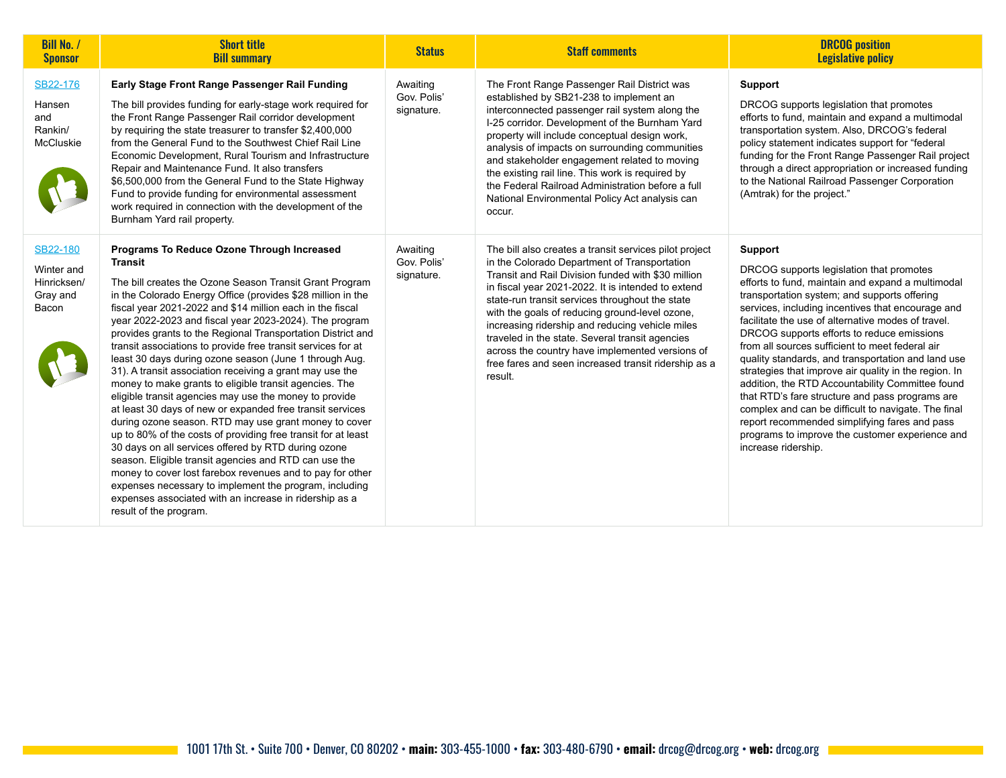| <b>Bill No. /</b><br><b>Sponsor</b>                        | <b>Short title</b><br><b>Bill summary</b>                                                                                                                                                                                                                                                                                                                                                                                                                                                                                                                                                                                                                                                                                                                                                                                                                                                                                                                                                                                                                                                                                                                                                         | <b>Status</b>                         | <b>Staff comments</b>                                                                                                                                                                                                                                                                                                                                                                                                                                                                                                                               | <b>DRCOG</b> position<br><b>Legislative policy</b>                                                                                                                                                                                                                                                                                                                                                                                                                                                                                                                                                                                                                                                                                                                                  |
|------------------------------------------------------------|---------------------------------------------------------------------------------------------------------------------------------------------------------------------------------------------------------------------------------------------------------------------------------------------------------------------------------------------------------------------------------------------------------------------------------------------------------------------------------------------------------------------------------------------------------------------------------------------------------------------------------------------------------------------------------------------------------------------------------------------------------------------------------------------------------------------------------------------------------------------------------------------------------------------------------------------------------------------------------------------------------------------------------------------------------------------------------------------------------------------------------------------------------------------------------------------------|---------------------------------------|-----------------------------------------------------------------------------------------------------------------------------------------------------------------------------------------------------------------------------------------------------------------------------------------------------------------------------------------------------------------------------------------------------------------------------------------------------------------------------------------------------------------------------------------------------|-------------------------------------------------------------------------------------------------------------------------------------------------------------------------------------------------------------------------------------------------------------------------------------------------------------------------------------------------------------------------------------------------------------------------------------------------------------------------------------------------------------------------------------------------------------------------------------------------------------------------------------------------------------------------------------------------------------------------------------------------------------------------------------|
| SB22-176<br>Hansen<br>and<br>Rankin/<br>McCluskie          | Early Stage Front Range Passenger Rail Funding<br>The bill provides funding for early-stage work required for<br>the Front Range Passenger Rail corridor development<br>by requiring the state treasurer to transfer \$2,400,000<br>from the General Fund to the Southwest Chief Rail Line<br>Economic Development, Rural Tourism and Infrastructure<br>Repair and Maintenance Fund. It also transfers<br>\$6,500,000 from the General Fund to the State Highway<br>Fund to provide funding for environmental assessment<br>work required in connection with the development of the<br>Burnham Yard rail property.                                                                                                                                                                                                                                                                                                                                                                                                                                                                                                                                                                                | Awaiting<br>Gov. Polis'<br>signature. | The Front Range Passenger Rail District was<br>established by SB21-238 to implement an<br>interconnected passenger rail system along the<br>I-25 corridor. Development of the Burnham Yard<br>property will include conceptual design work,<br>analysis of impacts on surrounding communities<br>and stakeholder engagement related to moving<br>the existing rail line. This work is required by<br>the Federal Railroad Administration before a full<br>National Environmental Policy Act analysis can<br>occur.                                  | <b>Support</b><br>DRCOG supports legislation that promotes<br>efforts to fund, maintain and expand a multimodal<br>transportation system. Also, DRCOG's federal<br>policy statement indicates support for "federal<br>funding for the Front Range Passenger Rail project<br>through a direct appropriation or increased funding<br>to the National Railroad Passenger Corporation<br>(Amtrak) for the project."                                                                                                                                                                                                                                                                                                                                                                     |
| SB22-180<br>Winter and<br>Hinricksen/<br>Gray and<br>Bacon | Programs To Reduce Ozone Through Increased<br>Transit<br>The bill creates the Ozone Season Transit Grant Program<br>in the Colorado Energy Office (provides \$28 million in the<br>fiscal year 2021-2022 and \$14 million each in the fiscal<br>year 2022-2023 and fiscal year 2023-2024). The program<br>provides grants to the Regional Transportation District and<br>transit associations to provide free transit services for at<br>least 30 days during ozone season (June 1 through Aug.<br>31). A transit association receiving a grant may use the<br>money to make grants to eligible transit agencies. The<br>eligible transit agencies may use the money to provide<br>at least 30 days of new or expanded free transit services<br>during ozone season. RTD may use grant money to cover<br>up to 80% of the costs of providing free transit for at least<br>30 days on all services offered by RTD during ozone<br>season. Eligible transit agencies and RTD can use the<br>money to cover lost farebox revenues and to pay for other<br>expenses necessary to implement the program, including<br>expenses associated with an increase in ridership as a<br>result of the program. | Awaiting<br>Gov. Polis'<br>signature. | The bill also creates a transit services pilot project<br>in the Colorado Department of Transportation<br>Transit and Rail Division funded with \$30 million<br>in fiscal year 2021-2022. It is intended to extend<br>state-run transit services throughout the state<br>with the goals of reducing ground-level ozone,<br>increasing ridership and reducing vehicle miles<br>traveled in the state. Several transit agencies<br>across the country have implemented versions of<br>free fares and seen increased transit ridership as a<br>result. | <b>Support</b><br>DRCOG supports legislation that promotes<br>efforts to fund, maintain and expand a multimodal<br>transportation system; and supports offering<br>services, including incentives that encourage and<br>facilitate the use of alternative modes of travel.<br>DRCOG supports efforts to reduce emissions<br>from all sources sufficient to meet federal air<br>quality standards, and transportation and land use<br>strategies that improve air quality in the region. In<br>addition, the RTD Accountability Committee found<br>that RTD's fare structure and pass programs are<br>complex and can be difficult to navigate. The final<br>report recommended simplifying fares and pass<br>programs to improve the customer experience and<br>increase ridership. |